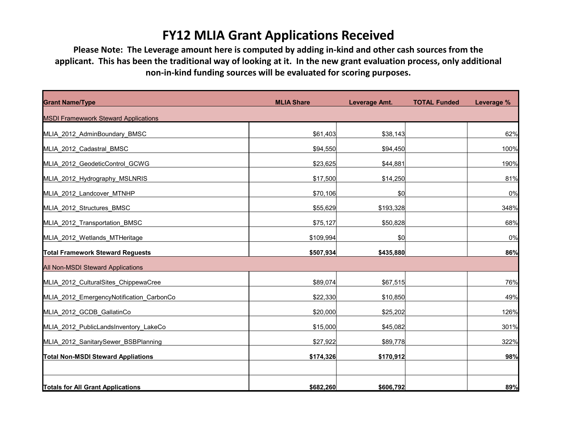## **FY12 MLIA Grant Applications Received**

**Please Note: The Leverage amount here is computed by adding in-kind and other cash sources from the applicant. This has been the traditional way of looking at it. In the new grant evaluation process, only additional non-in-kind funding sources will be evaluated for scoring purposes.**

| <b>Grant Name/Type</b>                      | <b>MLIA Share</b> | Leverage Amt. | <b>TOTAL Funded</b> | Leverage % |
|---------------------------------------------|-------------------|---------------|---------------------|------------|
| <b>MSDI Framewwork Steward Applications</b> |                   |               |                     |            |
| MLIA_2012_AdminBoundary_BMSC                | \$61,403          | \$38,143      |                     | 62%        |
| MLIA 2012 Cadastral BMSC                    | \$94,550          | \$94,450      |                     | 100%       |
| MLIA_2012_GeodeticControl_GCWG              | \$23,625          | \$44,881      |                     | 190%       |
| MLIA 2012 Hydrography MSLNRIS               | \$17,500          | \$14,250      |                     | 81%        |
| MLIA 2012 Landcover MTNHP                   | \$70,106          | \$0           |                     | 0%         |
| MLIA_2012_Structures_BMSC                   | \$55,629          | \$193,328     |                     | 348%       |
| MLIA_2012_Transportation_BMSC               | \$75,127          | \$50,828      |                     | 68%        |
| MLIA_2012_Wetlands_MTHeritage               | \$109,994         | \$0           |                     | 0%         |
| <b>Total Framework Steward Reguests</b>     | \$507,934         | \$435,880     |                     | 86%        |
| All Non-MSDI Steward Applications           |                   |               |                     |            |
| MLIA 2012 CulturalSites ChippewaCree        | \$89,074          | \$67,515      |                     | 76%        |
| MLIA_2012_EmergencyNotification_CarbonCo    | \$22,330          | \$10,850      |                     | 49%        |
| MLIA 2012 GCDB GallatinCo                   | \$20,000          | \$25,202      |                     | 126%       |
| MLIA_2012_PublicLandsInventory_LakeCo       | \$15,000          | \$45,082      |                     | 301%       |
| MLIA 2012 SanitarySewer BSBPlanning         | \$27,922          | \$89,778      |                     | 322%       |
| <b>Total Non-MSDI Steward Appliations</b>   | \$174,326         | \$170,912     |                     | 98%        |
| <b>Totals for All Grant Applications</b>    | \$682,260         | \$606,792     |                     | 89%        |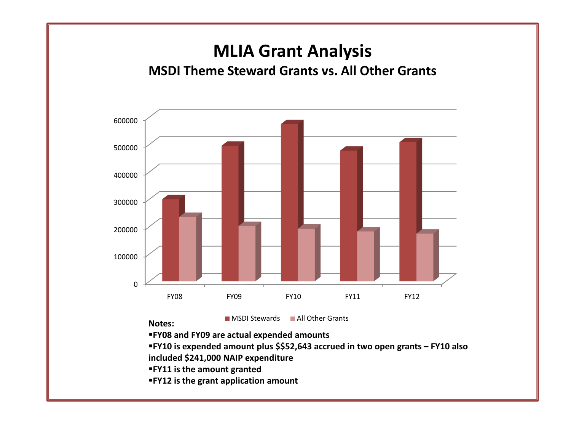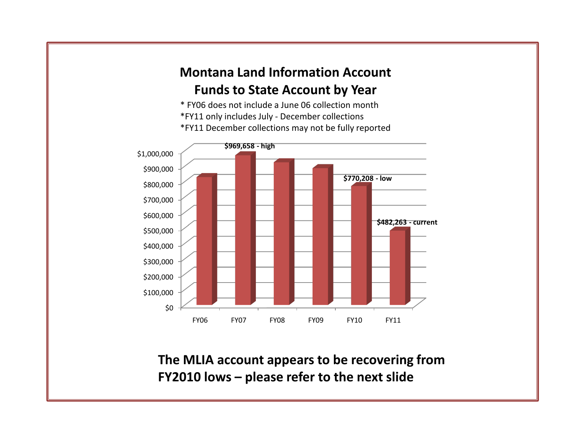## **Montana Land Information Account Funds to State Account by Year**

\* FY06 does not include a June 06 collection month \*FY11 only includes July - December collections \*FY11 December collections may not be fully reported



**The MLIA account appears to be recovering from FY2010 lows – please refer to the next slide**